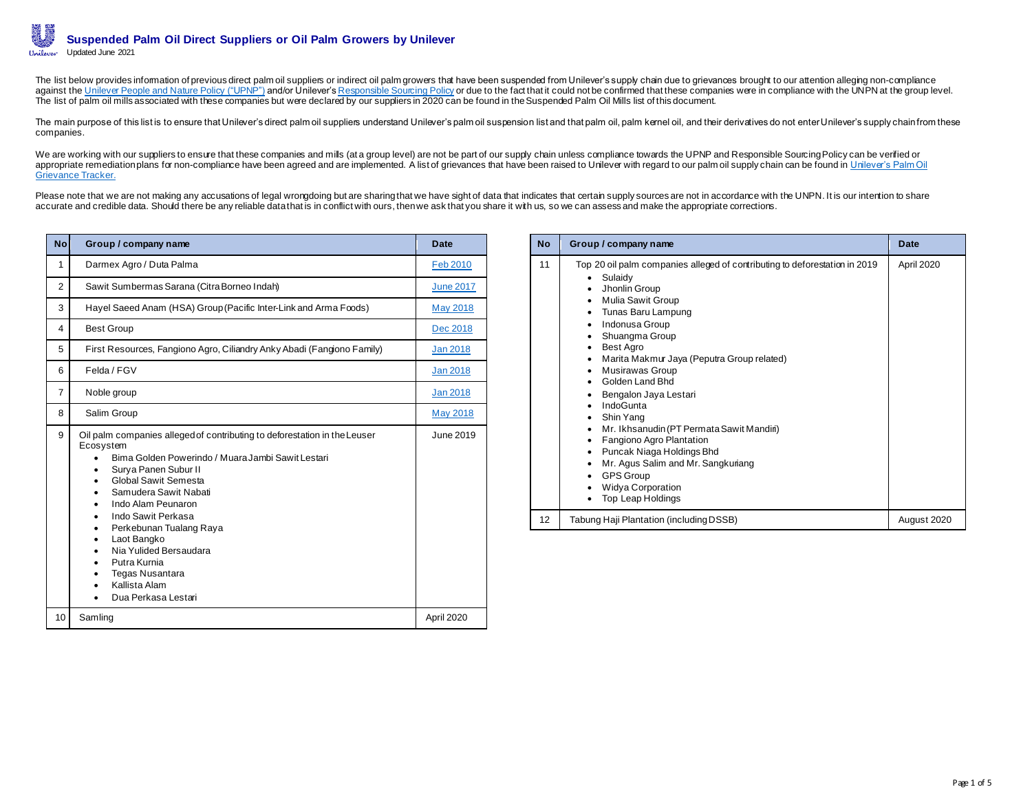The list below provides information of previous direct palm oil suppliers or indirect oil palm growers that have been suspended from Unilever's supply chain due to grievances brought to our attention alleging non-complianc against the [Unilever People and Nature Policy \("UPNP"\)](https://assets.unilever.com/files/92ui5egz/production-v2/cd70a5aad1bd6474a553bf857266fcbea9f41d47.pdf/unilever-people-and-nature-policy.pdf) and/or Unilever'[s Responsible Sourcing Policy](https://assets.unilever.com/files/92ui5egz/production-v2/6fd19e491d1b12a1cf6d0e26b79703f31093ed6f.pdf/responsible-sourcing-policy-interactive-final.pdf) or due to the fact that it could not be confirmed that these companies were in compliance with the UNPN at the group leve The list of palm oil mills associated with these companies but were declared by our suppliers in 2020 can be found in the Suspended Palm Oil Mills list of this document.

The main purpose of this list is to ensure that Unilever's direct palm oil suppliers understand Unilever's palm oil suspension list and that palm oil, palm kernel oil, and their derivatives do not enter Unilever's supply c companies.

We are working with our suppliers to ensure that these companies and mills (at a group level) are not be part of our supply chain unless compliance towards the UPNP and Responsible Sourcing Policy can be verified or appropriate remediation plans for non-compliance have been agreed and are implemented. A list of grievances that have been raised to Unilever with regard to our palm oil supply chain can be found in Unilever's Palm Oil [Grievance Tracker.](https://assets.unilever.com/files/92ui5egz/production-v2/092807a2ba5022d68661f999fbad232f69b8dc44.pdf/2021.4.21-Unilever-Palm-Oil-Grievance-Tracker.pdf) 

Please note that we are not making any accusations of legal wrongdoing but are sharing that we have sight of data that indicates that certain supply sources are not in accordance with the UNPN. It is our intention to share accurate and credible data. Should there be any reliable data that is in conflict with ours, then we ask that you share it with us, so we can assess and make the appropriate corrections.

| <b>No</b>      | Group / company name                                                                                                                                                                                                                                                                                                                                                                                                                                                                   | <b>Date</b>     |
|----------------|----------------------------------------------------------------------------------------------------------------------------------------------------------------------------------------------------------------------------------------------------------------------------------------------------------------------------------------------------------------------------------------------------------------------------------------------------------------------------------------|-----------------|
| 1              | Darmex Agro / Duta Palma                                                                                                                                                                                                                                                                                                                                                                                                                                                               | Feb 2010        |
| $\mathfrak{p}$ | Sawit Sumbermas Sarana (Citra Borneo Indah)                                                                                                                                                                                                                                                                                                                                                                                                                                            | June 2017       |
| 3              | Hayel Saeed Anam (HSA) Group (Pacific Inter-Link and Arma Foods)                                                                                                                                                                                                                                                                                                                                                                                                                       | <b>May 2018</b> |
| 4              | Best Group                                                                                                                                                                                                                                                                                                                                                                                                                                                                             | Dec 2018        |
| 5              | First Resources, Fangiono Agro, Ciliandry Anky Abadi (Fangiono Family)                                                                                                                                                                                                                                                                                                                                                                                                                 | Jan 2018        |
| 6              | Felda / FGV                                                                                                                                                                                                                                                                                                                                                                                                                                                                            | Jan 2018        |
| $\overline{7}$ | Noble group                                                                                                                                                                                                                                                                                                                                                                                                                                                                            | Jan 2018        |
| 8              | Salim Group                                                                                                                                                                                                                                                                                                                                                                                                                                                                            | <b>May 2018</b> |
| 9              | Oil palm companies alleged of contributing to deforestation in the Leuser<br>Ecosystem<br>Bima Golden Powerindo / Muara Jambi Sawit Lestari<br>$\bullet$<br>Surya Panen Subur II<br>٠<br>Global Sawit Semesta<br>٠<br>Samudera Sawit Nabati<br>Indo Alam Peunaron<br>٠<br>Indo Sawit Perkasa<br>$\bullet$<br>Perkebunan Tualang Raya<br>٠<br>Laot Bangko<br>٠<br>Nia Yulided Bersaudara<br>Putra Kurnia<br>$\bullet$<br><b>Tegas Nusantara</b><br>Kallista Alam<br>Dua Perkasa Lestari | June 2019       |
| 10             | Samling                                                                                                                                                                                                                                                                                                                                                                                                                                                                                | April 2020      |

| <b>No</b> | Group / company name                                                                                                                                                                                                                                                                                                                                                                                                                                                                                                                                                                                                                                                    | <b>Date</b> |
|-----------|-------------------------------------------------------------------------------------------------------------------------------------------------------------------------------------------------------------------------------------------------------------------------------------------------------------------------------------------------------------------------------------------------------------------------------------------------------------------------------------------------------------------------------------------------------------------------------------------------------------------------------------------------------------------------|-------------|
| 11        | Top 20 oil palm companies alleged of contributing to deforestation in 2019<br>Sulaidy<br>Jhonlin Group<br>٠<br><b>Mulia Sawit Group</b><br>٠<br>Tunas Baru Lampung<br>٠<br>Indonusa Group<br>٠<br>Shuangma Group<br>٠<br><b>Best Agro</b><br>٠<br>Marita Makmur Jaya (Peputra Group related)<br>٠<br>Musirawas Group<br>٠<br>Golden Land Bhd<br>٠<br>Bengalon Jaya Lestari<br>٠<br>IndoGunta<br>٠<br>Shin Yang<br>Mr. Ikhsanudin (PT Permata Sawit Mandiri)<br>$\bullet$<br>Fangiono Agro Plantation<br>٠<br>Puncak Niaga Holdings Bhd<br>٠<br>Mr. Agus Salim and Mr. Sangkuriang<br>٠<br><b>GPS Group</b><br>٠<br><b>Widya Corporation</b><br><b>Top Leap Holdings</b> | April 2020  |
| 12        | Tabung Haji Plantation (including DSSB)                                                                                                                                                                                                                                                                                                                                                                                                                                                                                                                                                                                                                                 | August 2020 |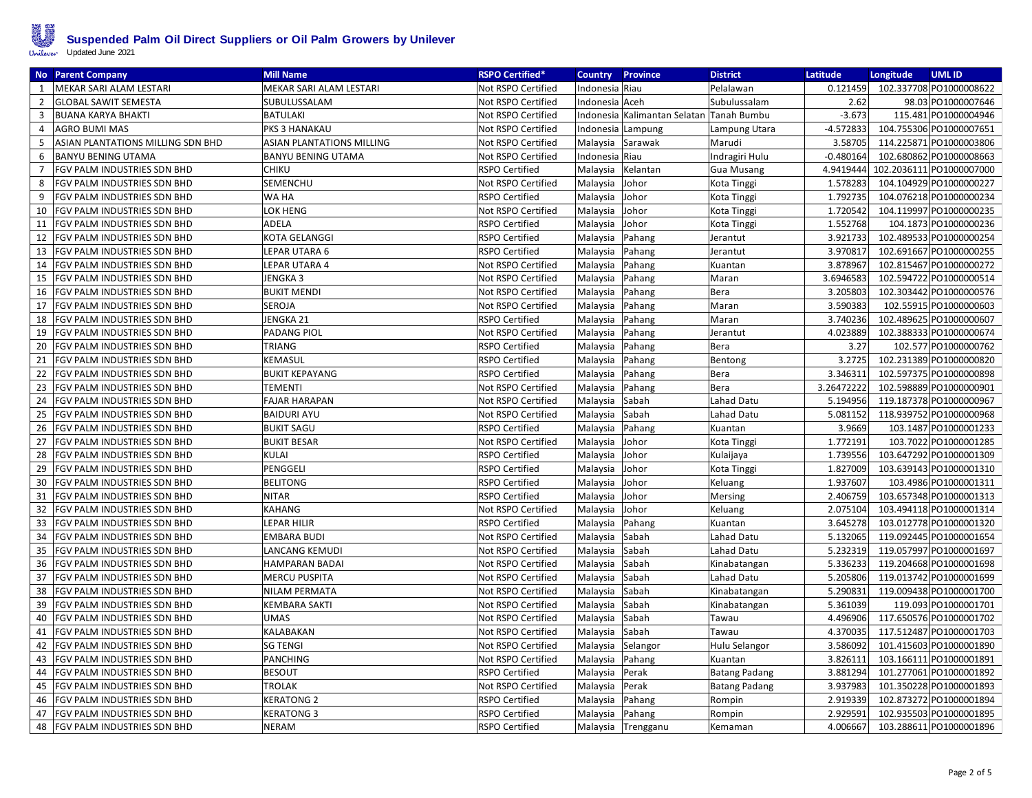

|                | <b>No</b> Parent Company           | <b>Mill Name</b>                 | <b>RSPO Certified*</b> | <b>Country</b>    | Province                                     | District             | Latitude    | <b>UMLID</b><br>Longitude          |
|----------------|------------------------------------|----------------------------------|------------------------|-------------------|----------------------------------------------|----------------------|-------------|------------------------------------|
| 1              | MEKAR SARI ALAM LESTARI            | MEKAR SARI ALAM LESTARI          | Not RSPO Certified     | Indonesia Riau    |                                              | Pelalawan            | 0.121459    | 102.337708 PO1000008622            |
| $\overline{2}$ | <b>GLOBAL SAWIT SEMESTA</b>        | SUBULUSSALAM                     | Not RSPO Certified     | Indonesia Aceh    |                                              | Subulussalam         | 2.62        | 98.03 PO1000007646                 |
| 3              | <b>BUANA KARYA BHAKTI</b>          | <b>BATULAKI</b>                  | Not RSPO Certified     |                   | Indonesia   Kalimantan Selatan   Tanah Bumbu |                      | $-3.673$    | 115.481 PO1000004946               |
| $\overline{4}$ | <b>AGRO BUMI MAS</b>               | PKS 3 HANAKAU                    | Not RSPO Certified     | Indonesia Lampung |                                              | Lampung Utara        | $-4.572833$ | 104.755306 PO1000007651            |
| 5              | ASIAN PLANTATIONS MILLING SDN BHD  | <b>ASIAN PLANTATIONS MILLING</b> | Not RSPO Certified     | Malaysia          | Sarawak                                      | Marudi               | 3.58705     | 114.225871 PO1000003806            |
| 6              | <b>BANYU BENING UTAMA</b>          | <b>BANYU BENING UTAMA</b>        | Not RSPO Certified     | Indonesia Riau    |                                              | Indragiri Hulu       | $-0.480164$ | 102.680862 PO1000008663            |
| $\overline{7}$ | <b>FGV PALM INDUSTRIES SDN BHD</b> | <b>CHIKU</b>                     | <b>RSPO Certified</b>  | Malaysia          | Kelantan                                     | <b>Gua Musang</b>    |             | 4.9419444 102.2036111 PO1000007000 |
| 8              | <b>FGV PALM INDUSTRIES SDN BHD</b> | SEMENCHU                         | Not RSPO Certified     | Malaysia          | Johor                                        | Kota Tinggi          | 1.578283    | 104.104929 PO1000000227            |
| 9              | <b>FGV PALM INDUSTRIES SDN BHD</b> | WA HA                            | <b>RSPO Certified</b>  | Malaysia          | Johor                                        | Kota Tinggi          | 1.792735    | 104.076218 PO1000000234            |
| 10             | <b>FGV PALM INDUSTRIES SDN BHD</b> | LOK HENG                         | Not RSPO Certified     | Malaysia          | Johor                                        | Kota Tinggi          | 1.720542    | 104.119997 PO1000000235            |
| 11             | <b>FGV PALM INDUSTRIES SDN BHD</b> | ADELA                            | <b>RSPO Certified</b>  | Malaysia          | Johor                                        | Kota Tinggi          | 1.552768    | 104.1873 PO1000000236              |
| 12             | <b>FGV PALM INDUSTRIES SDN BHD</b> | KOTA GELANGGI                    | <b>RSPO Certified</b>  | Malaysia          | Pahang                                       | Jerantut             | 3.921733    | 102.489533 PO1000000254            |
|                | 13   FGV PALM INDUSTRIES SDN BHD   | LEPAR UTARA 6                    | <b>RSPO Certified</b>  | Malaysia          | Pahang                                       | Jerantut             | 3.970817    | 102.691667 PO1000000255            |
| 14             | <b>FGV PALM INDUSTRIES SDN BHD</b> | LEPAR UTARA 4                    | Not RSPO Certified     | Malaysia          | Pahang                                       | Kuantan              | 3.878967    | 102.815467 PO1000000272            |
| 15             | <b>FGV PALM INDUSTRIES SDN BHD</b> | JENGKA 3                         | Not RSPO Certified     | Malaysia          | Pahang                                       | Maran                | 3.6946583   | 102.594722 PO1000000514            |
| 16             | <b>FGV PALM INDUSTRIES SDN BHD</b> | <b>BUKIT MENDI</b>               | Not RSPO Certified     | Malaysia          | Pahang                                       | Bera                 | 3.205803    | 102.303442 PO1000000576            |
|                | 17 FGV PALM INDUSTRIES SDN BHD     | <b>SEROJA</b>                    | Not RSPO Certified     | Malaysia          | Pahang                                       | Maran                | 3.590383    | 102.55915 PO1000000603             |
| 18             | <b>FGV PALM INDUSTRIES SDN BHD</b> | JENGKA 21                        | <b>RSPO Certified</b>  | Malaysia          | Pahang                                       | Maran                | 3.740236    | 102.489625 PO1000000607            |
| 19             | <b>FGV PALM INDUSTRIES SDN BHD</b> | <b>PADANG PIOL</b>               | Not RSPO Certified     | Malaysia          | Pahang                                       | Jerantut             | 4.023889    | 102.388333 PO1000000674            |
| 20             | <b>FGV PALM INDUSTRIES SDN BHD</b> | TRIANG                           | <b>RSPO Certified</b>  | Malaysia          | Pahang                                       | Bera                 | 3.27        | 102.577 PO1000000762               |
| 21             | <b>FGV PALM INDUSTRIES SDN BHD</b> | <b>KEMASUL</b>                   | <b>RSPO Certified</b>  | Malaysia          | Pahang                                       | Bentong              | 3.2725      | 102.231389 PO1000000820            |
| 22             | <b>FGV PALM INDUSTRIES SDN BHD</b> | <b>BUKIT KEPAYANG</b>            | <b>RSPO Certified</b>  | Malaysia          | Pahang                                       | Bera                 | 3.346311    | 102.597375 PO1000000898            |
| 23             | <b>FGV PALM INDUSTRIES SDN BHD</b> | <b>TEMENTI</b>                   | Not RSPO Certified     | Malaysia          | Pahang                                       | Bera                 | 3.26472222  | 102.598889 PO1000000901            |
| 24             | <b>FGV PALM INDUSTRIES SDN BHD</b> | <b>FAJAR HARAPAN</b>             | Not RSPO Certified     | Malaysia          | Sabah                                        | Lahad Datu           | 5.194956    | 119.187378 PO1000000967            |
| 25             | <b>FGV PALM INDUSTRIES SDN BHD</b> | <b>BAIDURI AYU</b>               | Not RSPO Certified     | Malaysia          | Sabah                                        | Lahad Datu           | 5.081152    | 118.939752 PO1000000968            |
| 26             | <b>FGV PALM INDUSTRIES SDN BHD</b> | <b>BUKIT SAGU</b>                | <b>RSPO Certified</b>  | Malaysia          | Pahang                                       | Kuantan              | 3.9669      | 103.1487 PO1000001233              |
| 27             | <b>FGV PALM INDUSTRIES SDN BHD</b> | <b>BUKIT BESAR</b>               | Not RSPO Certified     | Malaysia          | Johor                                        | Kota Tinggi          | 1.772191    | 103.7022 PO1000001285              |
| 28             | <b>FGV PALM INDUSTRIES SDN BHD</b> | <b>KULAI</b>                     | <b>RSPO Certified</b>  | Malaysia          | Johor                                        | Kulaijaya            | 1.739556    | 103.647292 PO1000001309            |
| 29             | <b>FGV PALM INDUSTRIES SDN BHD</b> | PENGGELI                         | <b>RSPO Certified</b>  | Malaysia          | Johor                                        | Kota Tinggi          | 1.827009    | 103.639143 PO1000001310            |
| 30             | <b>FGV PALM INDUSTRIES SDN BHD</b> | <b>BELITONG</b>                  | <b>RSPO Certified</b>  | Malaysia          | Johor                                        | Keluang              | 1.937607    | 103.4986 PO1000001311              |
| 31             | <b>FGV PALM INDUSTRIES SDN BHD</b> | <b>NITAR</b>                     | RSPO Certified         | Malaysia          | Johor                                        | Mersing              | 2.406759    | 103.657348 PO1000001313            |
|                | 32   FGV PALM INDUSTRIES SDN BHD   | KAHANG                           | Not RSPO Certified     | Malaysia          | Johor                                        | Keluang              | 2.075104    | 103.494118 PO1000001314            |
| 33             | <b>FGV PALM INDUSTRIES SDN BHD</b> | LEPAR HILIR                      | <b>RSPO Certified</b>  | Malaysia          | Pahang                                       | Kuantan              | 3.645278    | 103.012778 PO1000001320            |
| 34             | <b>FGV PALM INDUSTRIES SDN BHD</b> | <b>EMBARA BUDI</b>               | Not RSPO Certified     | Malaysia          | Sabah                                        | Lahad Datu           | 5.132065    | 119.092445 PO1000001654            |
| 35             | <b>FGV PALM INDUSTRIES SDN BHD</b> | LANCANG KEMUDI                   | Not RSPO Certified     | Malaysia          | Sabah                                        | Lahad Datu           | 5.232319    | 119.057997 PO1000001697            |
| 36             | <b>FGV PALM INDUSTRIES SDN BHD</b> | HAMPARAN BADAI                   | Not RSPO Certified     | Malaysia          | Sabah                                        | Kinabatangan         | 5.336233    | 119.204668 PO1000001698            |
| 37             | <b>FGV PALM INDUSTRIES SDN BHD</b> | <b>MERCU PUSPITA</b>             | Not RSPO Certified     | Malaysia          | Sabah                                        | Lahad Datu           | 5.205806    | 119.013742 PO1000001699            |
| 38             | <b>FGV PALM INDUSTRIES SDN BHD</b> | NILAM PERMATA                    | Not RSPO Certified     | Malaysia          | Sabah                                        | Kinabatangan         | 5.290831    | 119.009438 PO1000001700            |
| 39             | <b>FGV PALM INDUSTRIES SDN BHD</b> | <b>KEMBARA SAKTI</b>             | Not RSPO Certified     | Malaysia          | Sabah                                        | Kinabatangan         | 5.361039    | 119.093 PO1000001701               |
| 40             | <b>FGV PALM INDUSTRIES SDN BHD</b> | <b>UMAS</b>                      | Not RSPO Certified     | Malaysia          | Sabah                                        | Tawau                | 4.496906    | 117.650576 PO1000001702            |
| 41             | <b>FGV PALM INDUSTRIES SDN BHD</b> | KALABAKAN                        | Not RSPO Certified     | Malaysia          | Sabah                                        | Tawau                | 4.370035    | 117.512487 PO1000001703            |
| 42             | <b>FGV PALM INDUSTRIES SDN BHD</b> | <b>SG TENGI</b>                  | Not RSPO Certified     | Malaysia          | Selangor                                     | Hulu Selangor        | 3.586092    | 101.415603 PO1000001890            |
| 43             | <b>FGV PALM INDUSTRIES SDN BHD</b> | <b>PANCHING</b>                  | Not RSPO Certified     | Malaysia          | Pahang                                       | Kuantan              | 3.826111    | 103.166111 PO1000001891            |
| 44             | <b>FGV PALM INDUSTRIES SDN BHD</b> | <b>BESOUT</b>                    | <b>RSPO Certified</b>  | Malaysia          | Perak                                        | <b>Batang Padang</b> | 3.881294    | 101.277061 PO1000001892            |
| 45             | <b>FGV PALM INDUSTRIES SDN BHD</b> | <b>TROLAK</b>                    | Not RSPO Certified     | Malaysia          | Perak                                        | <b>Batang Padang</b> | 3.937983    | 101.350228 PO1000001893            |
| 46             | <b>FGV PALM INDUSTRIES SDN BHD</b> | <b>KERATONG 2</b>                | RSPO Certified         | Malaysia          | Pahang                                       | Rompin               | 2.919339    | 102.873272 PO1000001894            |
| 47             | <b>FGV PALM INDUSTRIES SDN BHD</b> | <b>KERATONG 3</b>                | RSPO Certified         | Malaysia          | Pahang                                       | Rompin               | 2.929591    | 102.935503 PO1000001895            |
|                | 48   FGV PALM INDUSTRIES SDN BHD   | <b>NERAM</b>                     | <b>RSPO Certified</b>  |                   | Malaysia Trengganu                           | Kemaman              | 4.006667    | 103.288611 PO1000001896            |
|                |                                    |                                  |                        |                   |                                              |                      |             |                                    |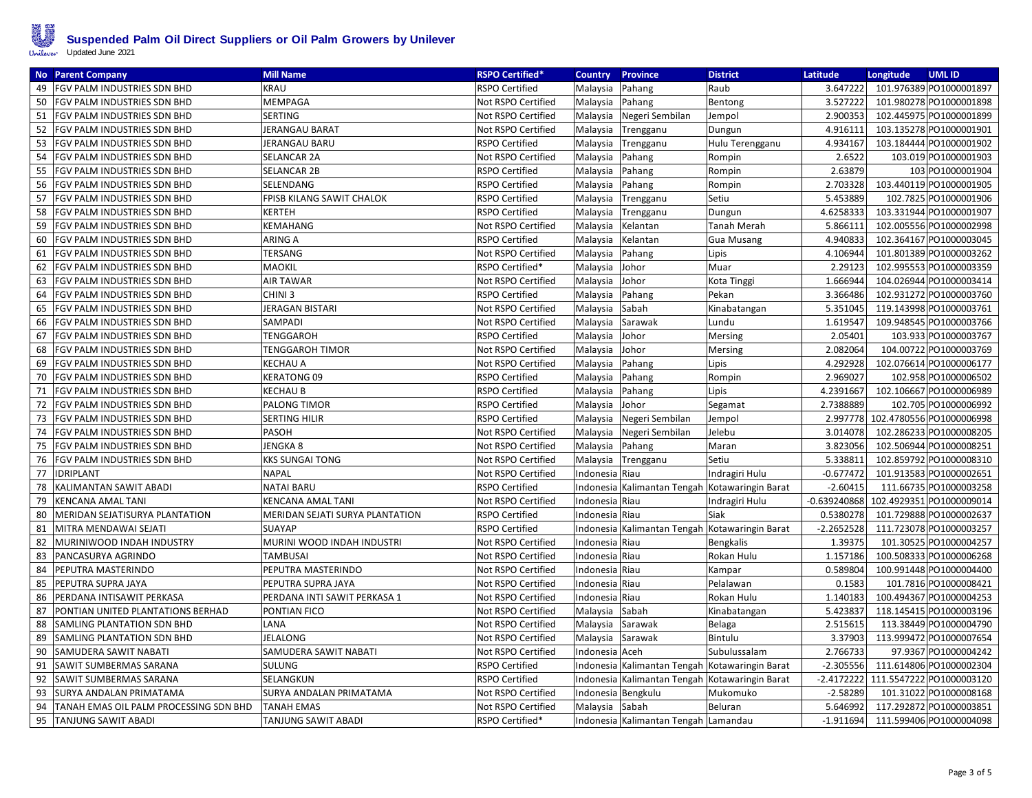

| <b>No</b> Parent Company                     | <b>Mill Name</b>                | <b>RSPO Certified*</b> | <b>Country</b>     | <b>Province</b>                      | <b>District</b>    | Latitude       | Longitude | <b>UMLID</b>                        |
|----------------------------------------------|---------------------------------|------------------------|--------------------|--------------------------------------|--------------------|----------------|-----------|-------------------------------------|
| FGV PALM INDUSTRIES SDN BHD<br>49            | <b>KRAU</b>                     | RSPO Certified         | Malaysia Pahang    |                                      | Raub               | 3.647222       |           | 101.976389 PO1000001897             |
| 50<br>FGV PALM INDUSTRIES SDN BHD            | MEMPAGA                         | Not RSPO Certified     | Malaysia Pahang    |                                      | Bentong            | 3.527222       |           | 101.980278 PO1000001898             |
| 51<br>FGV PALM INDUSTRIES SDN BHD            | <b>SERTING</b>                  | Not RSPO Certified     | Malaysia           | Negeri Sembilan                      | Jempol             | 2.900353       |           | 102.445975 PO1000001899             |
| 52<br>FGV PALM INDUSTRIES SDN BHD            | <b>JERANGAU BARAT</b>           | Not RSPO Certified     | Malaysia           | Trengganu                            | Dungun             | 4.916111       |           | 103.135278 PO1000001901             |
| 53<br>FGV PALM INDUSTRIES SDN BHD            | JERANGAU BARU                   | RSPO Certified         | Malaysia           | Trengganu                            | Hulu Terengganu    | 4.934167       |           | 103.184444 PO1000001902             |
| 54<br>FGV PALM INDUSTRIES SDN BHD            | <b>SELANCAR 2A</b>              | Not RSPO Certified     | Malaysia Pahang    |                                      | Rompin             | 2.6522         |           | 103.019 PO1000001903                |
| 55<br><b>FGV PALM INDUSTRIES SDN BHD</b>     | <b>SELANCAR 2B</b>              | <b>RSPO Certified</b>  | Malaysia           | Pahang                               | Rompin             | 2.63879        |           | 103 PO1000001904                    |
| 56<br>FGV PALM INDUSTRIES SDN BHD            | <b>SELENDANG</b>                | <b>RSPO Certified</b>  | Malaysia           | Pahang                               | Rompin             | 2.703328       |           | 103.440119 PO1000001905             |
| 57<br>FGV PALM INDUSTRIES SDN BHD            | FPISB KILANG SAWIT CHALOK       | <b>RSPO Certified</b>  | Malaysia           | Trengganu                            | Setiu              | 5.453889       |           | 102.7825 PO1000001906               |
| FGV PALM INDUSTRIES SDN BHD<br>58            | <b>KERTEH</b>                   | <b>RSPO Certified</b>  | Malaysia           | Trengganu                            | Dungun             | 4.6258333      |           | 103.331944 PO1000001907             |
| 59<br>FGV PALM INDUSTRIES SDN BHD            | <b>KEMAHANG</b>                 | Not RSPO Certified     | Malaysia           | Kelantan                             | <b>Tanah Merah</b> | 5.866111       |           | 102.005556 PO1000002998             |
| 60<br>FGV PALM INDUSTRIES SDN BHD            | <b>ARING A</b>                  | RSPO Certified         | Malaysia           | Kelantan                             | <b>Gua Musang</b>  | 4.940833       |           | 102.364167 PO1000003045             |
| FGV PALM INDUSTRIES SDN BHD<br>61            | <b>TERSANG</b>                  | Not RSPO Certified     | Malaysia           | Pahang                               | Lipis              | 4.106944       |           | 101.801389 PO1000003262             |
| 62<br>FGV PALM INDUSTRIES SDN BHD            | MAOKIL                          | RSPO Certified*        | Malaysia           | Johor                                | Muar               | 2.29123        |           | 102.995553 PO1000003359             |
| 63<br>FGV PALM INDUSTRIES SDN BHD            | <b>AIR TAWAR</b>                | Not RSPO Certified     | Malaysia           | Johor                                | Kota Tinggi        | 1.666944       |           | 104.026944 PO1000003414             |
| 64<br>FGV PALM INDUSTRIES SDN BHD            | CHINI <sub>3</sub>              | RSPO Certified         | Malaysia           | Pahang                               | Pekan              | 3.366486       |           | 102.931272 PO1000003760             |
| FGV PALM INDUSTRIES SDN BHD<br>65            | JERAGAN BISTARI                 | Not RSPO Certified     | Malaysia           | Sabah                                | Kinabatangan       | 5.351045       |           | 119.143998 PO1000003761             |
| 66<br>FGV PALM INDUSTRIES SDN BHD            | <b>SAMPADI</b>                  | Not RSPO Certified     | Malaysia           | Sarawak                              | Lundu              | 1.619547       |           | 109.948545 PO1000003766             |
| FGV PALM INDUSTRIES SDN BHD<br>67            | TENGGAROH                       | <b>RSPO Certified</b>  | Malaysia           | Johor                                | Mersing            | 2.05401        |           | 103.933 PO1000003767                |
| 68<br>FGV PALM INDUSTRIES SDN BHD            | <b>TENGGAROH TIMOR</b>          | Not RSPO Certified     | Malaysia Johor     |                                      | Mersing            | 2.082064       |           | 104.00722 PO1000003769              |
| FGV PALM INDUSTRIES SDN BHD<br>69            | <b>KECHAU A</b>                 | Not RSPO Certified     | Malaysia           | Pahang                               | Lipis              | 4.292928       |           | 102.076614 PO1000006177             |
| 70<br>FGV PALM INDUSTRIES SDN BHD            | <b>KERATONG 09</b>              | <b>RSPO Certified</b>  | Malaysia           | Pahang                               | Rompin             | 2.969027       |           | 102.958 PO1000006502                |
| 71<br>FGV PALM INDUSTRIES SDN BHD            | <b>KECHAU B</b>                 | <b>RSPO Certified</b>  | Malaysia           | Pahang                               | Lipis              | 4.2391667      |           | 102.106667 PO1000006989             |
| 72<br>FGV PALM INDUSTRIES SDN BHD            | PALONG TIMOR                    | RSPO Certified         | Malaysia           | Johor                                | Segamat            | 2.7388889      |           | 102.705 PO1000006992                |
| 73<br>FGV PALM INDUSTRIES SDN BHD            | <b>SERTING HILIR</b>            | RSPO Certified         | Malaysia           | Negeri Sembilan                      | Jempol             | 2.997778       |           | 102.4780556 PO1000006998            |
| 74<br>FGV PALM INDUSTRIES SDN BHD            | <b>PASOH</b>                    | Not RSPO Certified     |                    | Malaysia Negeri Sembilan             | Jelebu             | 3.014078       |           | 102.286233 PO1000008205             |
| 75<br>FGV PALM INDUSTRIES SDN BHD            | JENGKA 8                        | Not RSPO Certified     | Malaysia Pahang    |                                      | Maran              | 3.823056       |           | 102.506944 PO1000008251             |
| 76<br>FGV PALM INDUSTRIES SDN BHD            | KKS SUNGAI TONG                 | Not RSPO Certified     |                    | Malaysia Trengganu                   | Setiu              | 5.338811       |           | 102.859792 PO1000008310             |
| 77<br><b>IDRIPLANT</b>                       | <b>NAPAL</b>                    | Not RSPO Certified     | Indonesia Riau     |                                      | Indragiri Hulu     | $-0.677472$    |           | 101.913583 PO1000002651             |
| KALIMANTAN SAWIT ABADI<br>78                 | <b>NATAI BARU</b>               | <b>RSPO Certified</b>  |                    | Indonesia Kalimantan Tengah          | Kotawaringin Barat | $-2.60415$     |           | 111.66735 PO1000003258              |
| 79<br><b>KENCANA AMAL TANI</b>               | <b>KENCANA AMAL TANI</b>        | Not RSPO Certified     | Indonesia Riau     |                                      | Indragiri Hulu     | $-0.639240868$ |           | 102.4929351 PO1000009014            |
| 80<br>MERIDAN SEJATISURYA PLANTATION         | MERIDAN SEJATI SURYA PLANTATION | RSPO Certified         | Indonesia Riau     |                                      | Siak               | 0.5380278      |           | 101.729888 PO1000002637             |
| 81<br>MITRA MENDAWAI SEJATI                  | <b>SUAYAP</b>                   | <b>RSPO Certified</b>  |                    | Indonesia Kalimantan Tengah          | Kotawaringin Barat | $-2.2652528$   |           | 111.723078 PO1000003257             |
| 82<br>MURINIWOOD INDAH INDUSTRY              | MURINI WOOD INDAH INDUSTRI      | Not RSPO Certified     | Indonesia Riau     |                                      | <b>Bengkalis</b>   | 1.39375        |           | 101.30525 PO1000004257              |
| 83<br>PANCASURYA AGRINDO                     | <b>TAMBUSAI</b>                 | Not RSPO Certified     | Indonesia Riau     |                                      | Rokan Hulu         | 1.157186       |           | 100.508333 PO1000006268             |
| 84<br>PEPUTRA MASTERINDO                     | PEPUTRA MASTERINDO              | Not RSPO Certified     | Indonesia Riau     |                                      | Kampar             | 0.589804       |           | 100.991448 PO1000004400             |
| 85<br>PEPUTRA SUPRA JAYA                     | PEPUTRA SUPRA JAYA              | Not RSPO Certified     | Indonesia Riau     |                                      | Pelalawan          | 0.1583         |           | 101.7816 PO1000008421               |
| 86<br>PERDANA INTISAWIT PERKASA              | PERDANA INTI SAWIT PERKASA 1    | Not RSPO Certified     | Indonesia Riau     |                                      | Rokan Hulu         | 1.140183       |           | 100.494367 PO1000004253             |
| 87<br>PONTIAN UNITED PLANTATIONS BERHAD      | PONTIAN FICO                    | Not RSPO Certified     | Malaysia Sabah     |                                      | Kinabatangan       | 5.423837       |           | 118.145415 PO1000003196             |
| 88<br>SAMLING PLANTATION SDN BHD             | LANA                            | Not RSPO Certified     | Malaysia Sarawak   |                                      | Belaga             | 2.515615       |           | 113.38449 PO1000004790              |
| 89<br>SAMLING PLANTATION SDN BHD             | JELALONG                        | Not RSPO Certified     | Malaysia           | Sarawak                              | Bintulu            | 3.37903        |           | 113.999472 PO1000007654             |
| 90<br>SAMUDERA SAWIT NABATI                  | SAMUDERA SAWIT NABATI           | Not RSPO Certified     | Indonesia Aceh     |                                      | Subulussalam       | 2.766733       |           | 97.9367 PO1000004242                |
| 91<br>SAWIT SUMBERMAS SARANA                 | SULUNG                          | <b>RSPO Certified</b>  |                    | Indonesia Kalimantan Tengah          | Kotawaringin Barat | $-2.305556$    |           | 111.614806 PO1000002304             |
| 92<br>SAWIT SUMBERMAS SARANA                 | SELANGKUN                       | <b>RSPO Certified</b>  |                    | Indonesia Kalimantan Tengah          | Kotawaringin Barat |                |           | -2.4172222 111.5547222 PO1000003120 |
| 93<br>SURYA ANDALAN PRIMATAMA                | SURYA ANDALAN PRIMATAMA         | Not RSPO Certified     | Indonesia Bengkulu |                                      | Mukomuko           | $-2.58289$     |           | 101.31022 PO1000008168              |
| TANAH EMAS OIL PALM PROCESSING SDN BHD<br>94 | <b>TANAH EMAS</b>               | Not RSPO Certified     | Malaysia Sabah     |                                      | Beluran            | 5.646992       |           | 117.292872 PO1000003851             |
| 95<br>TANJUNG SAWIT ABADI                    | TANJUNG SAWIT ABADI             | RSPO Certified*        |                    | Indonesia Kalimantan Tengah Lamandau |                    | $-1.911694$    |           | 111.599406 PO1000004098             |
|                                              |                                 |                        |                    |                                      |                    |                |           |                                     |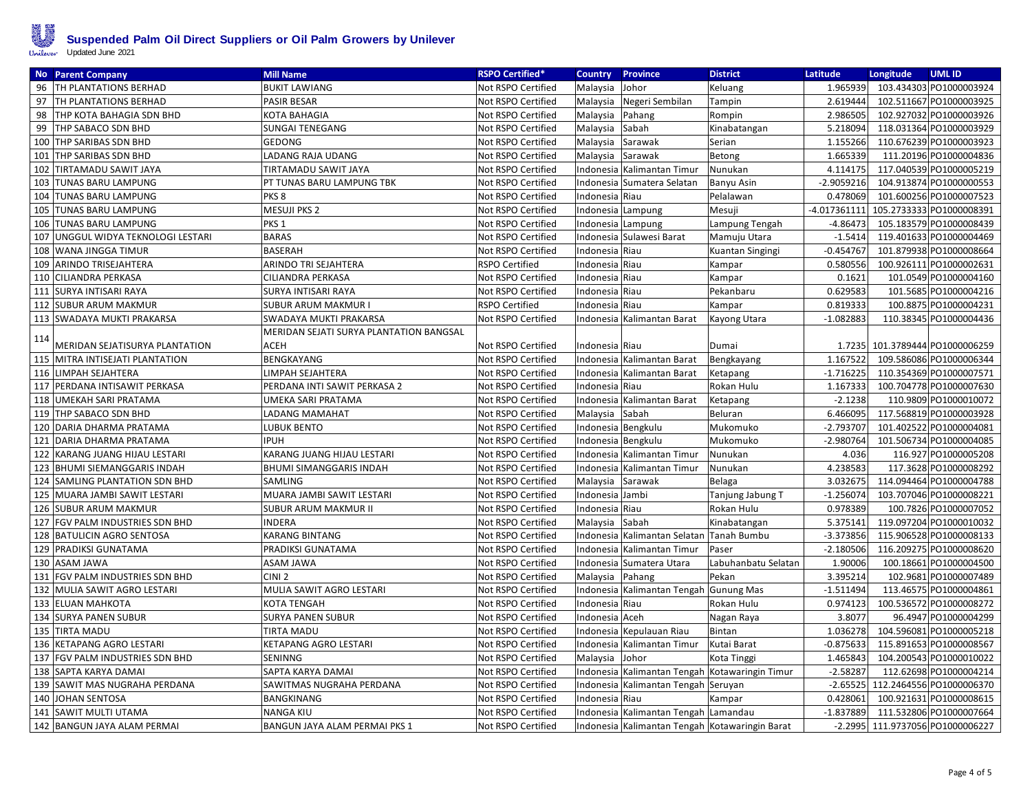

|     | <b>No</b> Parent Company           | <b>Mill Name</b>                        | <b>RSPO Certified*</b> | <b>Country</b>     | <b>Province</b>                                | <b>District</b>     | Latitude       | Longitude | <b>UMLID</b>                      |
|-----|------------------------------------|-----------------------------------------|------------------------|--------------------|------------------------------------------------|---------------------|----------------|-----------|-----------------------------------|
|     | 96   TH PLANTATIONS BERHAD         | <b>BUKIT LAWIANG</b>                    | Not RSPO Certified     | Malaysia Johor     |                                                | Keluang             | 1.965939       |           | 103.434303 PO1000003924           |
|     | 97   TH PLANTATIONS BERHAD         | <b>PASIR BESAR</b>                      | Not RSPO Certified     |                    | Malaysia Negeri Sembilan                       | Tampin              | 2.619444       |           | 102.511667 PO1000003925           |
|     | 98 THP KOTA BAHAGIA SDN BHD        | KOTA BAHAGIA                            | Not RSPO Certified     | Malaysia Pahang    |                                                | Rompin              | 2.986505       |           | 102.927032 PO1000003926           |
|     | 99 THP SABACO SDN BHD              | <b>SUNGAI TENEGANG</b>                  | Not RSPO Certified     | Malaysia Sabah     |                                                | Kinabatangan        | 5.218094       |           | 118.031364 PO1000003929           |
|     | 100 THP SARIBAS SDN BHD            | <b>GEDONG</b>                           | Not RSPO Certified     | Malaysia Sarawak   |                                                | Serian              | 1.155266       |           | 110.676239 PO1000003923           |
|     | 101 THP SARIBAS SDN BHD            | LADANG RAJA UDANG                       | Not RSPO Certified     | Malaysia Sarawak   |                                                | Betong              | 1.665339       |           | 111.20196 PO1000004836            |
|     | 102 TIRTAMADU SAWIT JAYA           | TIRTAMADU SAWIT JAYA                    | Not RSPO Certified     |                    | Indonesia Kalimantan Timur                     | Nunukan             | 4.114175       |           | 117.040539 PO1000005219           |
|     | 103 TUNAS BARU LAMPUNG             | PT TUNAS BARU LAMPUNG TBK               | Not RSPO Certified     |                    | Indonesia Sumatera Selatan                     | <b>Banyu Asin</b>   | $-2.9059216$   |           | 104.913874 PO1000000553           |
|     | 104 TUNAS BARU LAMPUNG             | PKS <sub>8</sub>                        | Not RSPO Certified     | Indonesia Riau     |                                                | Pelalawan           | 0.478069       |           | 101.600256 PO1000007523           |
|     | 105 TUNAS BARU LAMPUNG             | <b>MESUJI PKS 2</b>                     | Not RSPO Certified     | Indonesia Lampung  |                                                | Mesuji              | $-4.017361111$ |           | 105.2733333 PO1000008391          |
|     | 106 TUNAS BARU LAMPUNG             | PKS <sub>1</sub>                        | Not RSPO Certified     | Indonesia Lampung  |                                                | Lampung Tengah      | -4.86473       |           | 105.183579 PO1000008439           |
|     | 107 UNGGUL WIDYA TEKNOLOGI LESTARI | <b>BARAS</b>                            | Not RSPO Certified     |                    | Indonesia Sulawesi Barat                       | Mamuju Utara        | $-1.5414$      |           | 119.401633 PO1000004469           |
|     | 108 WANA JINGGA TIMUR              | BASERAH                                 | Not RSPO Certified     | Indonesia Riau     |                                                | Kuantan Singingi    | $-0.454767$    |           | 101.879938 PO1000008664           |
|     | 109 ARINDO TRISEJAHTERA            | ARINDO TRI SEJAHTERA                    | <b>RSPO Certified</b>  | Indonesia Riau     |                                                | Kampar              | 0.580556       |           | 100.926111 PO1000002631           |
|     | 110 CILIANDRA PERKASA              | CILIANDRA PERKASA                       | Not RSPO Certified     | Indonesia Riau     |                                                | Kampar              | 0.1621         |           | 101.0549 PO1000004160             |
|     | 111 SURYA INTISARI RAYA            | SURYA INTISARI RAYA                     | Not RSPO Certified     | Indonesia Riau     |                                                | Pekanbaru           | 0.629583       |           | 101.5685 PO1000004216             |
|     | 112 SUBUR ARUM MAKMUR              | <b>SUBUR ARUM MAKMURI</b>               | <b>RSPO Certified</b>  | Indonesia Riau     |                                                | Kampar              | 0.819333       |           | 100.8875 PO1000004231             |
|     | 113 SWADAYA MUKTI PRAKARSA         | SWADAYA MUKTI PRAKARSA                  | Not RSPO Certified     |                    | Indonesia   Kalimantan Barat                   | Kayong Utara        | $-1.082883$    |           | 110.38345 PO1000004436            |
|     |                                    | MERIDAN SEJATI SURYA PLANTATION BANGSAL |                        |                    |                                                |                     |                |           |                                   |
| 114 | MERIDAN SEJATISURYA PLANTATION     | <b>ACEH</b>                             | Not RSPO Certified     | Indonesia Riau     |                                                | Dumai               |                |           | 1.7235 101.3789444 PO1000006259   |
|     | 115  MITRA INTISEJATI PLANTATION   | <b>BENGKAYANG</b>                       | Not RSPO Certified     |                    | Indonesia Kalimantan Barat                     | Bengkayang          | 1.167522       |           | 109.586086 PO1000006344           |
|     | 116 LIMPAH SEJAHTERA               | LIMPAH SEJAHTERA                        | Not RSPO Certified     |                    | Indonesia Kalimantan Barat                     | Ketapang            | $-1.716225$    |           | 110.354369 PO1000007571           |
|     | 117 PERDANA INTISAWIT PERKASA      | PERDANA INTI SAWIT PERKASA 2            | Not RSPO Certified     | Indonesia Riau     |                                                | Rokan Hulu          | 1.167333       |           | 100.704778 PO1000007630           |
|     | 118  UMEKAH SARI PRATAMA           | UMEKA SARI PRATAMA                      | Not RSPO Certified     |                    | Indonesia Kalimantan Barat                     | Ketapang            | $-2.1238$      |           | 110.9809 PO1000010072             |
|     | 119 THP SABACO SDN BHD             | LADANG MAMAHAT                          | Not RSPO Certified     | Malaysia Sabah     |                                                | Beluran             | 6.466095       |           | 117.568819 PO1000003928           |
|     | 120 DARIA DHARMA PRATAMA           | <b>LUBUK BENTO</b>                      | Not RSPO Certified     | Indonesia Bengkulu |                                                | Mukomuko            | $-2.793707$    |           | 101.402522 PO1000004081           |
|     | 121 DARIA DHARMA PRATAMA           | <b>IPUH</b>                             | Not RSPO Certified     | Indonesia Bengkulu |                                                | Mukomuko            | $-2.980764$    |           | 101.506734 PO1000004085           |
|     | 122 KARANG JUANG HIJAU LESTARI     | KARANG JUANG HIJAU LESTARI              | Not RSPO Certified     |                    | Indonesia Kalimantan Timur                     | Nunukan             | 4.036          |           | 116.927 PO1000005208              |
|     | 123 BHUMI SIEMANGGARIS INDAH       | <b>BHUMI SIMANGGARIS INDAH</b>          | Not RSPO Certified     |                    | Indonesia Kalimantan Timur                     | Nunukan             | 4.238583       |           | 117.3628 PO1000008292             |
|     | 124 SAMLING PLANTATION SDN BHD     | <b>SAMLING</b>                          | Not RSPO Certified     | Malaysia Sarawak   |                                                | Belaga              | 3.032675       |           | 114.094464 PO1000004788           |
|     | 125  MUARA JAMBI SAWIT LESTARI     | MUARA JAMBI SAWIT LESTARI               | Not RSPO Certified     | Indonesia Jambi    |                                                | Tanjung Jabung T    | $-1.256074$    |           | 103.707046 PO1000008221           |
|     | 126 SUBUR ARUM MAKMUR              | SUBUR ARUM MAKMUR II                    | Not RSPO Certified     | Indonesia Riau     |                                                | Rokan Hulu          | 0.978389       |           | 100.7826 PO1000007052             |
|     | 127 FGV PALM INDUSTRIES SDN BHD    | <b>INDERA</b>                           | Not RSPO Certified     | Malaysia           | Sabah                                          | Kinabatangan        | 5.375141       |           | 119.097204 PO1000010032           |
|     | 128 BATULICIN AGRO SENTOSA         | <b>KARANG BINTANG</b>                   | Not RSPO Certified     |                    | Indonesia Kalimantan Selatan Tanah Bumbu       |                     | $-3.373856$    |           | 115.906528 PO1000008133           |
|     | 129  PRADIKSI GUNATAMA             | PRADIKSI GUNATAMA                       | Not RSPO Certified     |                    | Indonesia Kalimantan Timur                     | Paser               | $-2.180506$    |           | 116.209275 PO1000008620           |
|     | 130 ASAM JAWA                      | ASAM JAWA                               | Not RSPO Certified     |                    | Indonesia Sumatera Utara                       | Labuhanbatu Selatan | 1.90006        |           | 100.18661 PO1000004500            |
|     | 131 FGV PALM INDUSTRIES SDN BHD    | CINI <sub>2</sub>                       | Not RSPO Certified     | Malaysia Pahang    |                                                | Pekan               | 3.395214       |           | 102.9681 PO1000007489             |
|     | 132  MULIA SAWIT AGRO LESTARI      | MULIA SAWIT AGRO LESTARI                | Not RSPO Certified     |                    | Indonesia   Kalimantan Tengah   Gunung Mas     |                     | $-1.511494$    |           | 113.46575 PO1000004861            |
|     | 133 ELUAN MAHKOTA                  | <b>KOTA TENGAH</b>                      | Not RSPO Certified     | Indonesia Riau     |                                                | Rokan Hulu          | 0.974123       |           | 100.536572 PO1000008272           |
|     | 134 SURYA PANEN SUBUR              | <b>SURYA PANEN SUBUR</b>                | Not RSPO Certified     | Indonesia Aceh     |                                                | Nagan Raya          | 3.8077         |           | 96.4947 PO1000004299              |
|     | 135 TIRTA MADU                     | <b>TIRTA MADU</b>                       | Not RSPO Certified     |                    | Indonesia Kepulauan Riau                       | Bintan              | 1.036278       |           | 104.596081 PO1000005218           |
|     | 136 KETAPANG AGRO LESTARI          | <b>KETAPANG AGRO LESTARI</b>            | Not RSPO Certified     |                    | Indonesia Kalimantan Timur                     | Kutai Barat         | $-0.875633$    |           | 115.891653 PO1000008567           |
|     | 137 FGV PALM INDUSTRIES SDN BHD    | SENINNG                                 | Not RSPO Certified     | Malaysia           | Johor                                          | Kota Tinggi         | 1.465843       |           | 104.200543 PO1000010022           |
|     | 138 SAPTA KARYA DAMAI              | SAPTA KARYA DAMAI                       | Not RSPO Certified     |                    | Indonesia Kalimantan Tengah Kotawaringin Timur |                     | $-2.58287$     |           | 112.62698 PO1000004214            |
|     | 139 SAWIT MAS NUGRAHA PERDANA      | SAWITMAS NUGRAHA PERDANA                | Not RSPO Certified     |                    | Indonesia Kalimantan Tengah Seruyan            |                     |                |           | -2.65525 112.2464556 PO1000006370 |
|     | 140 JOHAN SENTOSA                  | <b>BANGKINANG</b>                       | Not RSPO Certified     | Indonesia Riau     |                                                | Kampar              | 0.428061       |           | 100.921631 PO1000008615           |
|     | 141  SAWIT MULTI UTAMA             | <b>NANGA KIU</b>                        | Not RSPO Certified     |                    | Indonesia Kalimantan Tengah Lamandau           |                     | $-1.837889$    |           | 111.532806 PO1000007664           |
|     | 142 BANGUN JAYA ALAM PERMAI        | BANGUN JAYA ALAM PERMAI PKS 1           | Not RSPO Certified     |                    | Indonesia Kalimantan Tengah Kotawaringin Barat |                     |                |           | -2.2995 111.9737056 PO1000006227  |
|     |                                    |                                         |                        |                    |                                                |                     |                |           |                                   |